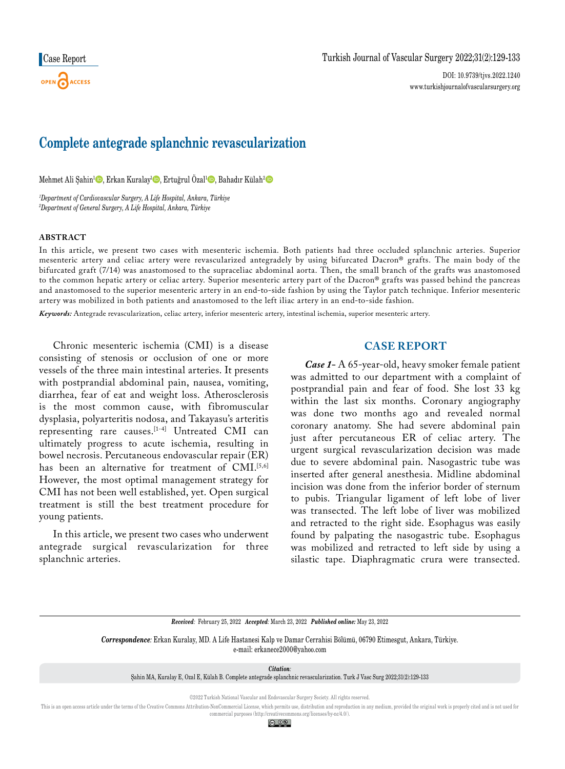DOI: 10.9739/tjvs.2022.1240 www.turkishjournalofvascularsurgery.org

# **Complete antegrade splanchnic revascularization**

Mehmet Ali Şahin<sup>1</sup>©, Erkan Kuralay<sup>ı</sup>©, Ertuğrul Özal<sup>ı</sup>©, Bahadır Külah<sup>2</sup>©

*1 Department of Cardiovascular Surgery, A Life Hospital, Ankara, Türkiye 2 Department of General Surgery, A Life Hospital, Ankara, Türkiye*

### **ABSTRACT**

In this article, we present two cases with mesenteric ischemia. Both patients had three occluded splanchnic arteries. Superior mesenteric artery and celiac artery were revascularized antegradely by using bifurcated Dacron® grafts. The main body of the bifurcated graft (7/14) was anastomosed to the supraceliac abdominal aorta. Then, the small branch of the grafts was anastomosed to the common hepatic artery or celiac artery. Superior mesenteric artery part of the Dacron® grafts was passed behind the pancreas and anastomosed to the superior mesenteric artery in an end-to-side fashion by using the Taylor patch technique. Inferior mesenteric artery was mobilized in both patients and anastomosed to the left iliac artery in an end-to-side fashion.

*Keywords:* Antegrade revascularization, celiac artery, inferior mesenteric artery, intestinal ischemia, superior mesenteric artery.

Chronic mesenteric ischemia (CMI) is a disease consisting of stenosis or occlusion of one or more vessels of the three main intestinal arteries. It presents with postprandial abdominal pain, nausea, vomiting, diarrhea, fear of eat and weight loss. Atherosclerosis is the most common cause, with fibromuscular dysplasia, polyarteritis nodosa, and Takayasu's arteritis representing rare causes.[1-4] Untreated CMI can ultimately progress to acute ischemia, resulting in bowel necrosis. Percutaneous endovascular repair (ER) has been an alternative for treatment of CMI.<sup>[5,6]</sup> However, the most optimal management strategy for CMI has not been well established, yet. Open surgical treatment is still the best treatment procedure for young patients.

In this article, we present two cases who underwent antegrade surgical revascularization for three splanchnic arteries.

## **CASE REPORT**

*Case 1-* A 65-year-old, heavy smoker female patient was admitted to our department with a complaint of postprandial pain and fear of food. She lost 33 kg within the last six months. Coronary angiography was done two months ago and revealed normal coronary anatomy. She had severe abdominal pain just after percutaneous ER of celiac artery. The urgent surgical revascularization decision was made due to severe abdominal pain. Nasogastric tube was inserted after general anesthesia. Midline abdominal incision was done from the inferior border of sternum to pubis. Triangular ligament of left lobe of liver was transected. The left lobe of liver was mobilized and retracted to the right side. Esophagus was easily found by palpating the nasogastric tube. Esophagus was mobilized and retracted to left side by using a silastic tape. Diaphragmatic crura were transected.

*Received:* February 25, 2022 *Accepted:* March 23, 2022 *Published online:* May 23, 2022

*Correspondence:* Erkan Kuralay, MD. A Life Hastanesi Kalp ve Damar Cerrahisi Bölümü, 06790 Etimesgut, Ankara, Türkiye. e-mail: erkanece2000@yahoo.com

*Citation:*

Şahin MA, Kuralay E, Ozal E, Külah B. Complete antegrade splanchnic revascularization. Turk J Vasc Surg 2022;31(2):129-133

©2022 Turkish National Vascular and Endovascular Surgery Society. All rights reserved.

This is an open access article under the terms of the Creative Commons Attribution-NonCommercial License, which permits use, distribution and reproduction in any medium, provided the original work is properly cited and is commercial purposes (http://creativecommons.org/licenses/by-nc/4.0/).

© 0ි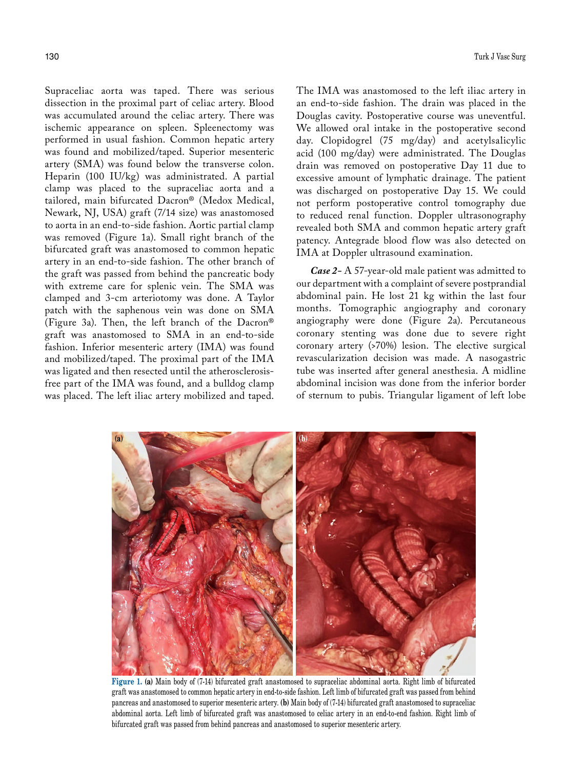Supraceliac aorta was taped. There was serious dissection in the proximal part of celiac artery. Blood was accumulated around the celiac artery. There was ischemic appearance on spleen. Spleenectomy was performed in usual fashion. Common hepatic artery was found and mobilized/taped. Superior mesenteric artery (SMA) was found below the transverse colon. Heparin (100 IU/kg) was administrated. A partial clamp was placed to the supraceliac aorta and a tailored, main bifurcated Dacron® (Medox Medical, Newark, NJ, USA) graft (7/14 size) was anastomosed to aorta in an end-to-side fashion. Aortic partial clamp was removed (Figure 1a). Small right branch of the bifurcated graft was anastomosed to common hepatic artery in an end-to-side fashion. The other branch of the graft was passed from behind the pancreatic body with extreme care for splenic vein. The SMA was clamped and 3-cm arteriotomy was done. A Taylor patch with the saphenous vein was done on SMA (Figure 3a). Then, the left branch of the Dacron® graft was anastomosed to SMA in an end-to-side fashion. Inferior mesenteric artery (IMA) was found and mobilized/taped. The proximal part of the IMA was ligated and then resected until the atherosclerosisfree part of the IMA was found, and a bulldog clamp was placed. The left iliac artery mobilized and taped.

The IMA was anastomosed to the left iliac artery in an end-to-side fashion. The drain was placed in the Douglas cavity. Postoperative course was uneventful. We allowed oral intake in the postoperative second day. Clopidogrel (75 mg/day) and acetylsalicylic acid (100 mg/day) were administrated. The Douglas drain was removed on postoperative Day 11 due to excessive amount of lymphatic drainage. The patient was discharged on postoperative Day 15. We could not perform postoperative control tomography due to reduced renal function. Doppler ultrasonography revealed both SMA and common hepatic artery graft patency. Antegrade blood flow was also detected on IMA at Doppler ultrasound examination.

*Case 2-* A 57-year-old male patient was admitted to our department with a complaint of severe postprandial abdominal pain. He lost 21 kg within the last four months. Tomographic angiography and coronary angiography were done (Figure 2a). Percutaneous coronary stenting was done due to severe right coronary artery (>70%) lesion. The elective surgical revascularization decision was made. A nasogastric tube was inserted after general anesthesia. A midline abdominal incision was done from the inferior border of sternum to pubis. Triangular ligament of left lobe



**Figure 1. (a)** Main body of (7-14) bifurcated graft anastomosed to supraceliac abdominal aorta. Right limb of bifurcated graft was anastomosed to common hepatic artery in end-to-side fashion. Left limb of bifurcated graft was passed from behind pancreas and anastomosed to superior mesenteric artery. **(b)** Main body of (7-14) bifurcated graft anastomosed to supraceliac abdominal aorta. Left limb of bifurcated graft was anastomosed to celiac artery in an end-to-end fashion. Right limb of bifurcated graft was passed from behind pancreas and anastomosed to superior mesenteric artery.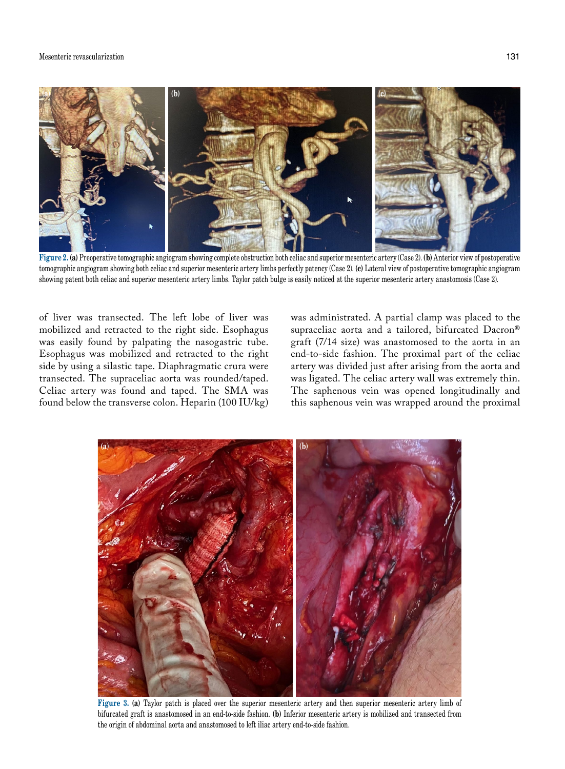#### Mesenteric revascularization 131



**Figure 2. (a)** Preoperative tomographic angiogram showing complete obstruction both celiac and superior mesenteric artery (Case 2). **(b)** Anterior view of postoperative tomographic angiogram showing both celiac and superior mesenteric artery limbs perfectly patency (Case 2). **(c)** Lateral view of postoperative tomographic angiogram showing patent both celiac and superior mesenteric artery limbs. Taylor patch bulge is easily noticed at the superior mesenteric artery anastomosis (Case 2).

of liver was transected. The left lobe of liver was mobilized and retracted to the right side. Esophagus was easily found by palpating the nasogastric tube. Esophagus was mobilized and retracted to the right side by using a silastic tape. Diaphragmatic crura were transected. The supraceliac aorta was rounded/taped. Celiac artery was found and taped. The SMA was found below the transverse colon. Heparin (100 IU/kg) was administrated. A partial clamp was placed to the supraceliac aorta and a tailored, bifurcated Dacron® graft (7/14 size) was anastomosed to the aorta in an end-to-side fashion. The proximal part of the celiac artery was divided just after arising from the aorta and was ligated. The celiac artery wall was extremely thin. The saphenous vein was opened longitudinally and this saphenous vein was wrapped around the proximal



**Figure 3. (a)** Taylor patch is placed over the superior mesenteric artery and then superior mesenteric artery limb of bifurcated graft is anastomosed in an end-to-side fashion. **(b)** Inferior mesenteric artery is mobilized and transected from the origin of abdominal aorta and anastomosed to left iliac artery end-to-side fashion.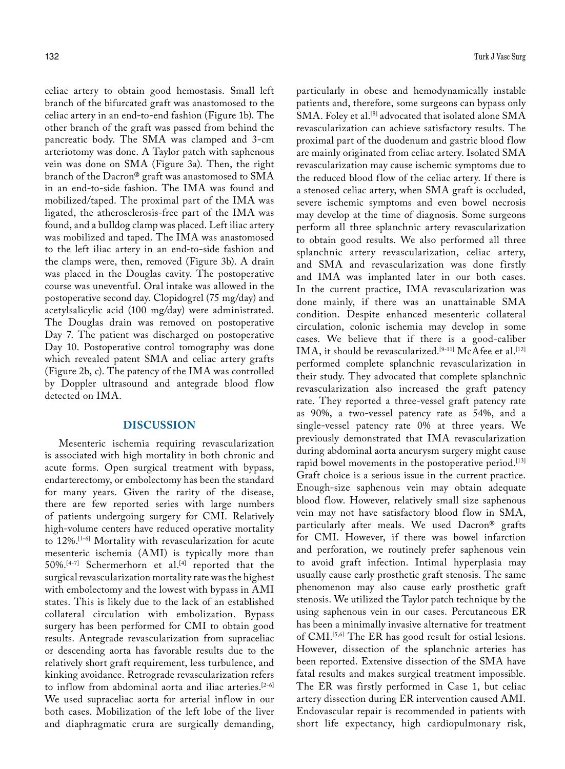celiac artery to obtain good hemostasis. Small left branch of the bifurcated graft was anastomosed to the celiac artery in an end-to-end fashion (Figure 1b). The other branch of the graft was passed from behind the pancreatic body. The SMA was clamped and 3-cm arteriotomy was done. A Taylor patch with saphenous vein was done on SMA (Figure 3a). Then, the right branch of the Dacron® graft was anastomosed to SMA in an end-to-side fashion. The IMA was found and mobilized/taped. The proximal part of the IMA was ligated, the atherosclerosis-free part of the IMA was found, and a bulldog clamp was placed. Left iliac artery was mobilized and taped. The IMA was anastomosed to the left iliac artery in an end-to-side fashion and the clamps were, then, removed (Figure 3b). A drain was placed in the Douglas cavity. The postoperative course was uneventful. Oral intake was allowed in the postoperative second day. Clopidogrel (75 mg/day) and acetylsalicylic acid (100 mg/day) were administrated. The Douglas drain was removed on postoperative Day 7. The patient was discharged on postoperative Day 10. Postoperative control tomography was done which revealed patent SMA and celiac artery grafts (Figure 2b, c). The patency of the IMA was controlled by Doppler ultrasound and antegrade blood flow detected on IMA.

## **DISCUSSION**

Mesenteric ischemia requiring revascularization is associated with high mortality in both chronic and acute forms. Open surgical treatment with bypass, endarterectomy, or embolectomy has been the standard for many years. Given the rarity of the disease, there are few reported series with large numbers of patients undergoing surgery for CMI. Relatively high-volume centers have reduced operative mortality to 12%.[1-6] Mortality with revascularization for acute mesenteric ischemia (AMI) is typically more than 50%.[4-7] Schermerhorn et al.[4] reported that the surgical revascularization mortality rate was the highest with embolectomy and the lowest with bypass in AMI states. This is likely due to the lack of an established collateral circulation with embolization. Bypass surgery has been performed for CMI to obtain good results. Antegrade revascularization from supraceliac or descending aorta has favorable results due to the relatively short graft requirement, less turbulence, and kinking avoidance. Retrograde revascularization refers to inflow from abdominal aorta and iliac arteries.[2-6] We used supraceliac aorta for arterial inflow in our both cases. Mobilization of the left lobe of the liver and diaphragmatic crura are surgically demanding, particularly in obese and hemodynamically instable patients and, therefore, some surgeons can bypass only SMA. Foley et al.<sup>[8]</sup> advocated that isolated alone SMA revascularization can achieve satisfactory results. The proximal part of the duodenum and gastric blood flow are mainly originated from celiac artery. Isolated SMA revascularization may cause ischemic symptoms due to the reduced blood flow of the celiac artery. If there is a stenosed celiac artery, when SMA graft is occluded, severe ischemic symptoms and even bowel necrosis may develop at the time of diagnosis. Some surgeons perform all three splanchnic artery revascularization to obtain good results. We also performed all three splanchnic artery revascularization, celiac artery, and SMA and revascularization was done firstly and IMA was implanted later in our both cases. In the current practice, IMA revascularization was done mainly, if there was an unattainable SMA condition. Despite enhanced mesenteric collateral circulation, colonic ischemia may develop in some cases. We believe that if there is a good-caliber IMA, it should be revascularized.<sup>[9-11]</sup> McAfee et al.<sup>[12]</sup> performed complete splanchnic revascularization in their study. They advocated that complete splanchnic revascularization also increased the graft patency rate. They reported a three-vessel graft patency rate as 90%, a two-vessel patency rate as 54%, and a single-vessel patency rate 0% at three years. We previously demonstrated that IMA revascularization during abdominal aorta aneurysm surgery might cause rapid bowel movements in the postoperative period.<sup>[13]</sup> Graft choice is a serious issue in the current practice. Enough-size saphenous vein may obtain adequate blood flow. However, relatively small size saphenous vein may not have satisfactory blood flow in SMA, particularly after meals. We used Dacron® grafts for CMI. However, if there was bowel infarction and perforation, we routinely prefer saphenous vein to avoid graft infection. Intimal hyperplasia may usually cause early prosthetic graft stenosis. The same phenomenon may also cause early prosthetic graft stenosis. We utilized the Taylor patch technique by the using saphenous vein in our cases. Percutaneous ER has been a minimally invasive alternative for treatment of CMI.[5,6] The ER has good result for ostial lesions. However, dissection of the splanchnic arteries has been reported. Extensive dissection of the SMA have fatal results and makes surgical treatment impossible. The ER was firstly performed in Case 1, but celiac artery dissection during ER intervention caused AMI. Endovascular repair is recommended in patients with short life expectancy, high cardiopulmonary risk,